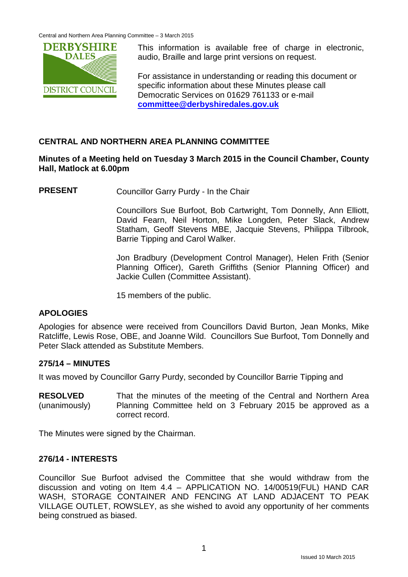

This information is available free of charge in electronic, audio, Braille and large print versions on request.

For assistance in understanding or reading this document or specific information about these Minutes please call Democratic Services on 01629 761133 or e-mail **[committee@derbyshiredales.gov.uk](mailto:committee@derbyshiredales.gov.uk)**

# **CENTRAL AND NORTHERN AREA PLANNING COMMITTEE**

# **Minutes of a Meeting held on Tuesday 3 March 2015 in the Council Chamber, County Hall, Matlock at 6.00pm**

**PRESENT** Councillor Garry Purdy - In the Chair

Councillors Sue Burfoot, Bob Cartwright, Tom Donnelly, Ann Elliott, David Fearn, Neil Horton, Mike Longden, Peter Slack, Andrew Statham, Geoff Stevens MBE, Jacquie Stevens, Philippa Tilbrook, Barrie Tipping and Carol Walker.

Jon Bradbury (Development Control Manager), Helen Frith (Senior Planning Officer), Gareth Griffiths (Senior Planning Officer) and Jackie Cullen (Committee Assistant).

15 members of the public.

## **APOLOGIES**

Apologies for absence were received from Councillors David Burton, Jean Monks, Mike Ratcliffe, Lewis Rose, OBE, and Joanne Wild. Councillors Sue Burfoot, Tom Donnelly and Peter Slack attended as Substitute Members.

## **275/14 – MINUTES**

It was moved by Councillor Garry Purdy, seconded by Councillor Barrie Tipping and

**RESOLVED** (unanimously) That the minutes of the meeting of the Central and Northern Area Planning Committee held on 3 February 2015 be approved as a correct record.

The Minutes were signed by the Chairman.

## **276/14 - INTERESTS**

Councillor Sue Burfoot advised the Committee that she would withdraw from the discussion and voting on Item 4.4 – APPLICATION NO. 14/00519(FUL) HAND CAR WASH, STORAGE CONTAINER AND FENCING AT LAND ADJACENT TO PEAK VILLAGE OUTLET, ROWSLEY, as she wished to avoid any opportunity of her comments being construed as biased.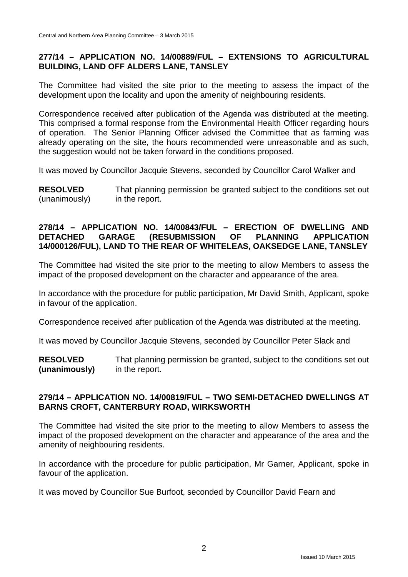# **277/14 – APPLICATION NO. 14/00889/FUL – EXTENSIONS TO AGRICULTURAL BUILDING, LAND OFF ALDERS LANE, TANSLEY**

The Committee had visited the site prior to the meeting to assess the impact of the development upon the locality and upon the amenity of neighbouring residents.

Correspondence received after publication of the Agenda was distributed at the meeting. This comprised a formal response from the Environmental Health Officer regarding hours of operation. The Senior Planning Officer advised the Committee that as farming was already operating on the site, the hours recommended were unreasonable and as such, the suggestion would not be taken forward in the conditions proposed.

It was moved by Councillor Jacquie Stevens, seconded by Councillor Carol Walker and

**RESOLVED** (unanimously) That planning permission be granted subject to the conditions set out in the report.

# **278/14 – APPLICATION NO. 14/00843/FUL – ERECTION OF DWELLING AND (RESUBMISSION 14/000126/FUL), LAND TO THE REAR OF WHITELEAS, OAKSEDGE LANE, TANSLEY**

The Committee had visited the site prior to the meeting to allow Members to assess the impact of the proposed development on the character and appearance of the area.

In accordance with the procedure for public participation, Mr David Smith, Applicant, spoke in favour of the application.

Correspondence received after publication of the Agenda was distributed at the meeting.

It was moved by Councillor Jacquie Stevens, seconded by Councillor Peter Slack and

**RESOLVED (unanimously)** That planning permission be granted, subject to the conditions set out in the report.

## **279/14 – APPLICATION NO. 14/00819/FUL – TWO SEMI-DETACHED DWELLINGS AT BARNS CROFT, CANTERBURY ROAD, WIRKSWORTH**

The Committee had visited the site prior to the meeting to allow Members to assess the impact of the proposed development on the character and appearance of the area and the amenity of neighbouring residents.

In accordance with the procedure for public participation, Mr Garner, Applicant, spoke in favour of the application.

It was moved by Councillor Sue Burfoot, seconded by Councillor David Fearn and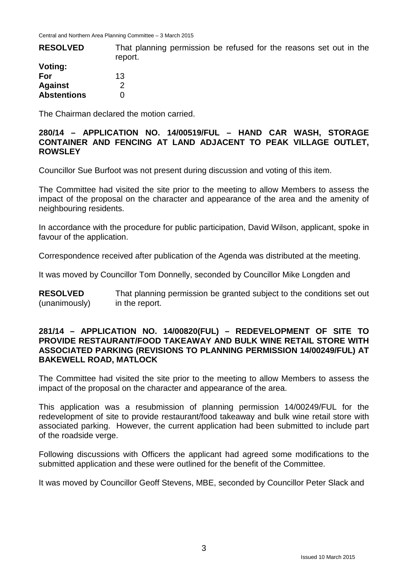| <b>RESOLVED</b>    | That planning permission be refused for the reasons set out in the<br>report. |
|--------------------|-------------------------------------------------------------------------------|
| Voting:            |                                                                               |
| For                | 13                                                                            |
| <b>Against</b>     |                                                                               |
| <b>Abstentions</b> |                                                                               |

The Chairman declared the motion carried.

#### **280/14 – APPLICATION NO. 14/00519/FUL – HAND CAR WASH, STORAGE CONTAINER AND FENCING AT LAND ADJACENT TO PEAK VILLAGE OUTLET, ROWSLEY**

Councillor Sue Burfoot was not present during discussion and voting of this item.

The Committee had visited the site prior to the meeting to allow Members to assess the impact of the proposal on the character and appearance of the area and the amenity of neighbouring residents.

In accordance with the procedure for public participation, David Wilson, applicant, spoke in favour of the application.

Correspondence received after publication of the Agenda was distributed at the meeting.

It was moved by Councillor Tom Donnelly, seconded by Councillor Mike Longden and

**RESOLVED** (unanimously) That planning permission be granted subject to the conditions set out in the report.

#### **281/14 – APPLICATION NO. 14/00820(FUL) – REDEVELOPMENT OF SITE TO PROVIDE RESTAURANT/FOOD TAKEAWAY AND BULK WINE RETAIL STORE WITH ASSOCIATED PARKING (REVISIONS TO PLANNING PERMISSION 14/00249/FUL) AT BAKEWELL ROAD, MATLOCK**

The Committee had visited the site prior to the meeting to allow Members to assess the impact of the proposal on the character and appearance of the area.

This application was a resubmission of planning permission 14/00249/FUL for the redevelopment of site to provide restaurant/food takeaway and bulk wine retail store with associated parking. However, the current application had been submitted to include part of the roadside verge.

Following discussions with Officers the applicant had agreed some modifications to the submitted application and these were outlined for the benefit of the Committee.

It was moved by Councillor Geoff Stevens, MBE, seconded by Councillor Peter Slack and